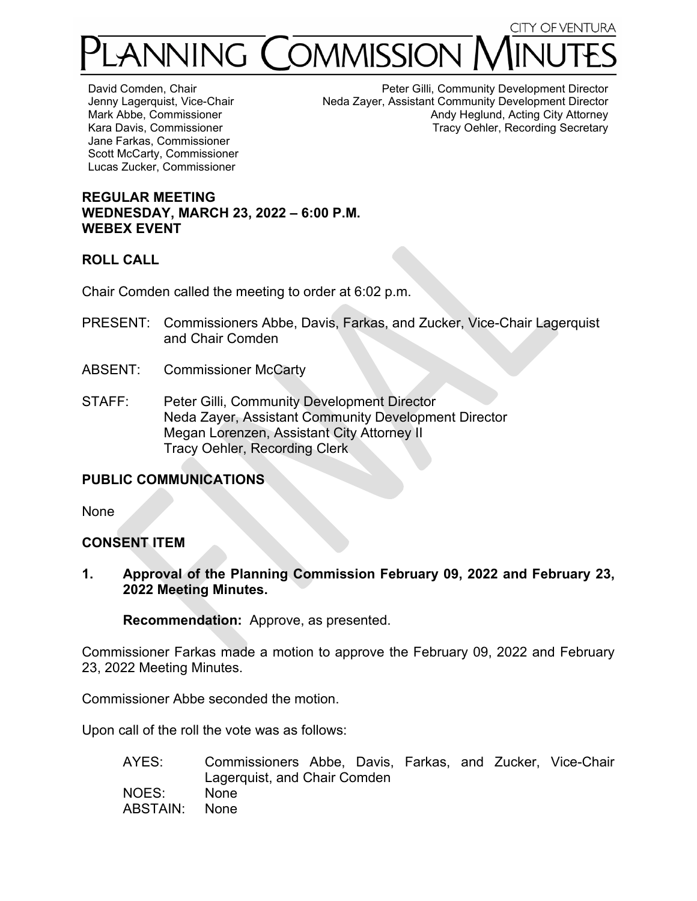# **CITY OF VENTURA** ANNING COMMISSION

David Comden, Chair Jenny Lagerquist, Vice-Chair Mark Abbe, Commissioner Kara Davis, Commissioner Jane Farkas, Commissioner Scott McCarty, Commissioner Lucas Zucker, Commissioner

Peter Gilli, Community Development Director Neda Zayer, Assistant Community Development Director Andy Heglund, Acting City Attorney Tracy Oehler, Recording Secretary

## **REGULAR MEETING WEDNESDAY, MARCH 23, 2022 – 6:00 P.M. WEBEX EVENT**

## **ROLL CALL**

Chair Comden called the meeting to order at 6:02 p.m.

- PRESENT: Commissioners Abbe, Davis, Farkas, and Zucker, Vice-Chair Lagerquist and Chair Comden
- ABSENT: Commissioner McCarty
- STAFF: Peter Gilli, Community Development Director Neda Zayer, Assistant Community Development Director Megan Lorenzen, Assistant City Attorney II Tracy Oehler, Recording Clerk

## **PUBLIC COMMUNICATIONS**

None

## **CONSENT ITEM**

**1. Approval of the Planning Commission February 09, 2022 and February 23, 2022 Meeting Minutes.** 

**Recommendation:** Approve, as presented.

Commissioner Farkas made a motion to approve the February 09, 2022 and February 23, 2022 Meeting Minutes.

Commissioner Abbe seconded the motion.

Upon call of the roll the vote was as follows:

| AYES:         | Commissioners Abbe, Davis, Farkas, and Zucker, Vice-Chair |  |  |  |
|---------------|-----------------------------------------------------------|--|--|--|
|               | Lagerquist, and Chair Comden                              |  |  |  |
| NOES:         | None                                                      |  |  |  |
| ABSTAIN: None |                                                           |  |  |  |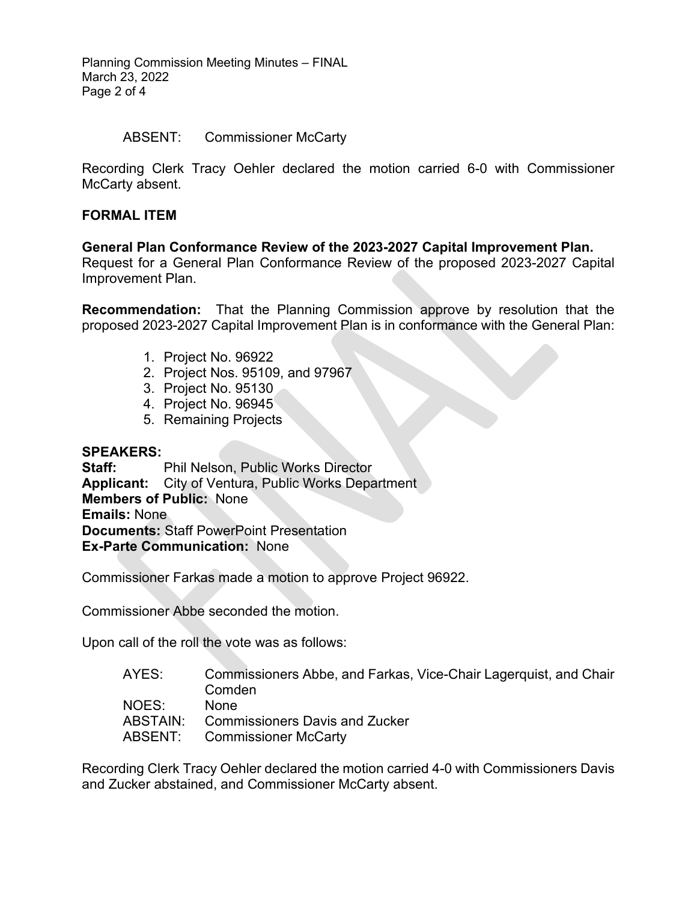Planning Commission Meeting Minutes – FINAL March 23, 2022 Page 2 of 4

#### ABSENT: Commissioner McCarty

Recording Clerk Tracy Oehler declared the motion carried 6-0 with Commissioner McCarty absent.

#### **FORMAL ITEM**

#### **General Plan Conformance Review of the 2023-2027 Capital Improvement Plan.**

Request for a General Plan Conformance Review of the proposed 2023-2027 Capital Improvement Plan.

**Recommendation:** That the Planning Commission approve by resolution that the proposed 2023-2027 Capital Improvement Plan is in conformance with the General Plan:

- 1. Project No. 96922
- 2. Project Nos. 95109, and 97967
- 3. Project No. 95130
- 4. Project No. 96945
- 5. Remaining Projects

#### **SPEAKERS:**

**Staff:** Phil Nelson, Public Works Director **Applicant:** City of Ventura, Public Works Department **Members of Public:** None **Emails:** None **Documents:** Staff PowerPoint Presentation **Ex-Parte Communication:** None

Commissioner Farkas made a motion to approve Project 96922.

Commissioner Abbe seconded the motion.

Upon call of the roll the vote was as follows:

| Commissioners Abbe, and Farkas, Vice-Chair Lagerquist, and Chair |
|------------------------------------------------------------------|
| Comden                                                           |
| <b>None</b>                                                      |
| ABSTAIN: Commissioners Davis and Zucker                          |
| <b>ABSENT:</b> Commissioner McCarty                              |
|                                                                  |

Recording Clerk Tracy Oehler declared the motion carried 4-0 with Commissioners Davis and Zucker abstained, and Commissioner McCarty absent.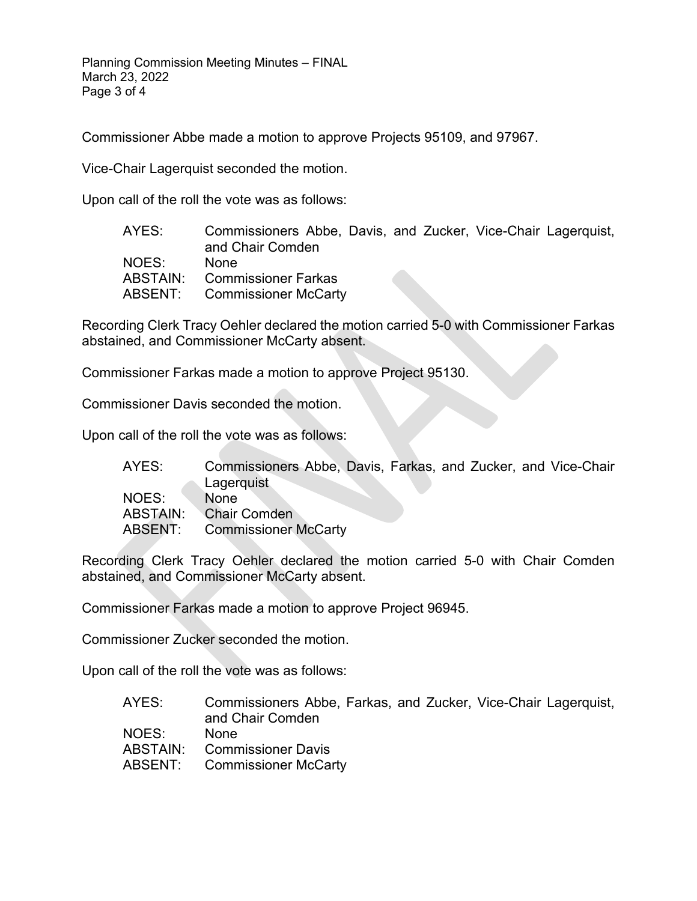Planning Commission Meeting Minutes – FINAL March 23, 2022 Page 3 of 4

Commissioner Abbe made a motion to approve Projects 95109, and 97967.

Vice-Chair Lagerquist seconded the motion.

Upon call of the roll the vote was as follows:

| and Chair Comden                    |  |                                                               |
|-------------------------------------|--|---------------------------------------------------------------|
| None                                |  |                                                               |
| ABSTAIN: Commissioner Farkas        |  |                                                               |
| <b>ABSENT:</b> Commissioner McCarty |  |                                                               |
|                                     |  | Commissioners Abbe, Davis, and Zucker, Vice-Chair Lagerquist, |

Recording Clerk Tracy Oehler declared the motion carried 5-0 with Commissioner Farkas abstained, and Commissioner McCarty absent.

Commissioner Farkas made a motion to approve Project 95130.

Commissioner Davis seconded the motion.

Upon call of the roll the vote was as follows:

| AYES: | Commissioners Abbe, Davis, Farkas, and Zucker, and Vice-Chair |
|-------|---------------------------------------------------------------|
|       | Lagerquist                                                    |
| NOES: | <b>None</b>                                                   |
|       | ABSTAIN: Chair Comden                                         |
|       | <b>ABSENT:</b> Commissioner McCarty                           |

Recording Clerk Tracy Oehler declared the motion carried 5-0 with Chair Comden abstained, and Commissioner McCarty absent.

Commissioner Farkas made a motion to approve Project 96945.

Commissioner Zucker seconded the motion.

Upon call of the roll the vote was as follows:

| AYES: | Commissioners Abbe, Farkas, and Zucker, Vice-Chair Lagerquist,<br>and Chair Comden |
|-------|------------------------------------------------------------------------------------|
| NOES: | <b>None</b>                                                                        |
|       | <b>ABSTAIN:</b> Commissioner Davis                                                 |
|       | <b>ABSENT:</b> Commissioner McCarty                                                |